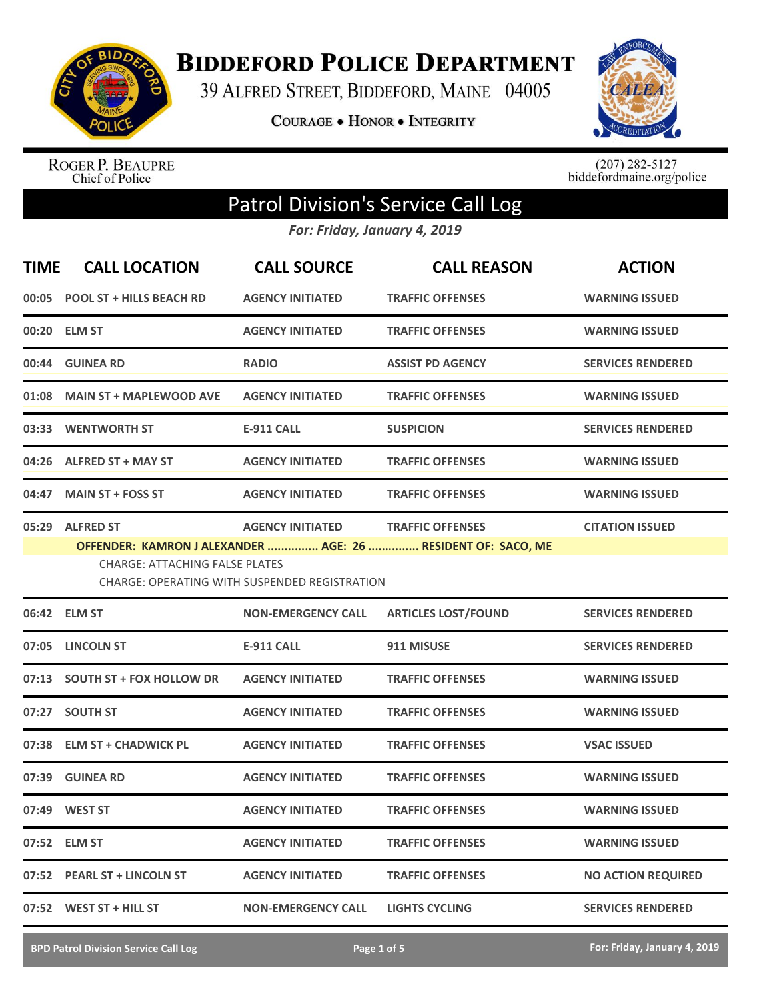

**BIDDEFORD POLICE DEPARTMENT** 

39 ALFRED STREET, BIDDEFORD, MAINE 04005

COURAGE . HONOR . INTEGRITY



ROGER P. BEAUPRE<br>Chief of Police

 $(207)$  282-5127<br>biddefordmaine.org/police

## Patrol Division's Service Call Log

*For: Friday, January 4, 2019*

| <b>TIME</b> | <b>CALL LOCATION</b>                                                                                                                                                                                                                                      | <b>CALL SOURCE</b>        | <b>CALL REASON</b>         | <b>ACTION</b>             |  |
|-------------|-----------------------------------------------------------------------------------------------------------------------------------------------------------------------------------------------------------------------------------------------------------|---------------------------|----------------------------|---------------------------|--|
|             | 00:05 POOL ST + HILLS BEACH RD                                                                                                                                                                                                                            | <b>AGENCY INITIATED</b>   | <b>TRAFFIC OFFENSES</b>    | <b>WARNING ISSUED</b>     |  |
|             | 00:20 ELM ST                                                                                                                                                                                                                                              | <b>AGENCY INITIATED</b>   | <b>TRAFFIC OFFENSES</b>    | <b>WARNING ISSUED</b>     |  |
|             | 00:44 GUINEA RD                                                                                                                                                                                                                                           | <b>RADIO</b>              | <b>ASSIST PD AGENCY</b>    | <b>SERVICES RENDERED</b>  |  |
|             | 01:08 MAIN ST + MAPLEWOOD AVE                                                                                                                                                                                                                             | <b>AGENCY INITIATED</b>   | <b>TRAFFIC OFFENSES</b>    | <b>WARNING ISSUED</b>     |  |
|             | 03:33 WENTWORTH ST                                                                                                                                                                                                                                        | <b>E-911 CALL</b>         | <b>SUSPICION</b>           | <b>SERVICES RENDERED</b>  |  |
|             | 04:26 ALFRED ST + MAY ST                                                                                                                                                                                                                                  | <b>AGENCY INITIATED</b>   | <b>TRAFFIC OFFENSES</b>    | <b>WARNING ISSUED</b>     |  |
|             | 04:47 MAIN ST + FOSS ST                                                                                                                                                                                                                                   | <b>AGENCY INITIATED</b>   | <b>TRAFFIC OFFENSES</b>    | <b>WARNING ISSUED</b>     |  |
|             | 05:29 ALFRED ST<br><b>AGENCY INITIATED</b><br><b>TRAFFIC OFFENSES</b><br><b>CITATION ISSUED</b><br>OFFENDER: KAMRON J ALEXANDER  AGE: 26  RESIDENT OF: SACO, ME<br><b>CHARGE: ATTACHING FALSE PLATES</b><br>CHARGE: OPERATING WITH SUSPENDED REGISTRATION |                           |                            |                           |  |
|             | 06:42 ELM ST                                                                                                                                                                                                                                              | <b>NON-EMERGENCY CALL</b> | <b>ARTICLES LOST/FOUND</b> | <b>SERVICES RENDERED</b>  |  |
|             | 07:05 LINCOLN ST                                                                                                                                                                                                                                          | <b>E-911 CALL</b>         | 911 MISUSE                 | <b>SERVICES RENDERED</b>  |  |
|             | 07:13 SOUTH ST + FOX HOLLOW DR                                                                                                                                                                                                                            | <b>AGENCY INITIATED</b>   | <b>TRAFFIC OFFENSES</b>    | <b>WARNING ISSUED</b>     |  |
|             | 07:27 SOUTH ST                                                                                                                                                                                                                                            | <b>AGENCY INITIATED</b>   | <b>TRAFFIC OFFENSES</b>    | <b>WARNING ISSUED</b>     |  |
|             | 07:38 ELM ST + CHADWICK PL                                                                                                                                                                                                                                | <b>AGENCY INITIATED</b>   | <b>TRAFFIC OFFENSES</b>    | <b>VSAC ISSUED</b>        |  |
|             | 07:39 GUINEA RD                                                                                                                                                                                                                                           | <b>AGENCY INITIATED</b>   | <b>TRAFFIC OFFENSES</b>    | <b>WARNING ISSUED</b>     |  |
|             | 07:49 WEST ST                                                                                                                                                                                                                                             | <b>AGENCY INITIATED</b>   | <b>TRAFFIC OFFENSES</b>    | <b>WARNING ISSUED</b>     |  |
|             | 07:52 ELM ST                                                                                                                                                                                                                                              | <b>AGENCY INITIATED</b>   | <b>TRAFFIC OFFENSES</b>    | <b>WARNING ISSUED</b>     |  |
|             | 07:52 PEARL ST + LINCOLN ST                                                                                                                                                                                                                               | <b>AGENCY INITIATED</b>   | <b>TRAFFIC OFFENSES</b>    | <b>NO ACTION REQUIRED</b> |  |
|             | 07:52 WEST ST + HILL ST                                                                                                                                                                                                                                   | <b>NON-EMERGENCY CALL</b> | <b>LIGHTS CYCLING</b>      | <b>SERVICES RENDERED</b>  |  |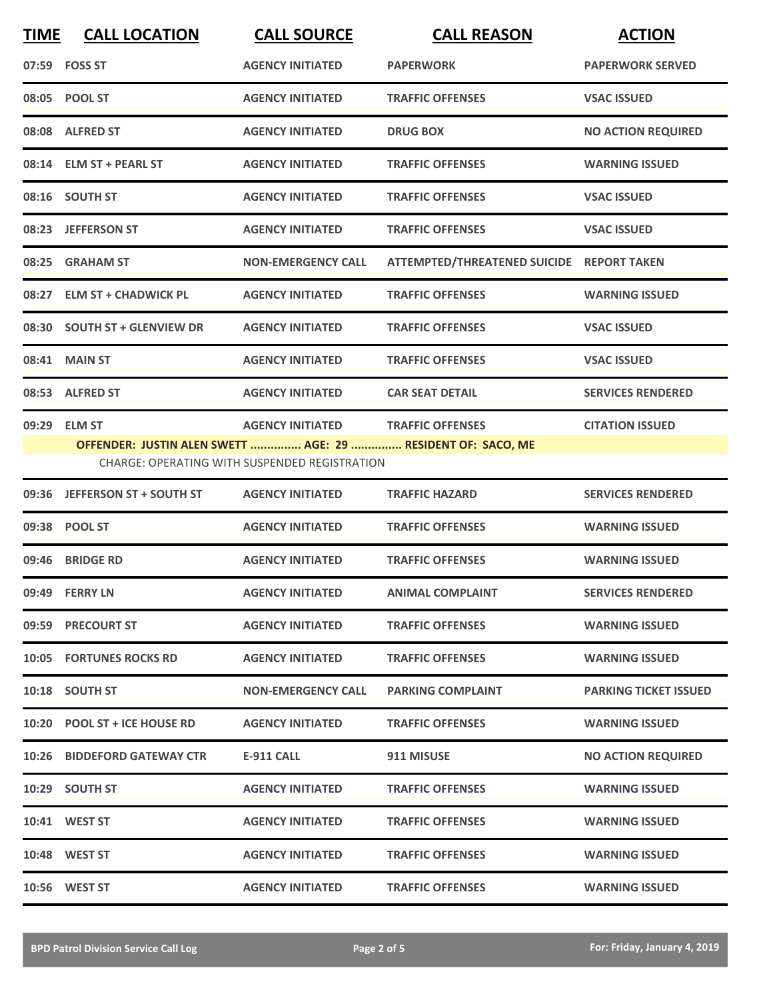| <b>TIME</b> | <b>CALL LOCATION</b>                                                        | <b>CALL SOURCE</b>                                                              | <b>CALL REASON</b>                        | <b>ACTION</b>                |
|-------------|-----------------------------------------------------------------------------|---------------------------------------------------------------------------------|-------------------------------------------|------------------------------|
|             | 07:59 FOSS ST                                                               | <b>AGENCY INITIATED</b>                                                         | <b>PAPERWORK</b>                          | <b>PAPERWORK SERVED</b>      |
|             | 08:05 POOL ST                                                               | <b>AGENCY INITIATED</b>                                                         | <b>TRAFFIC OFFENSES</b>                   | <b>VSAC ISSUED</b>           |
|             | 08:08 ALFRED ST                                                             | <b>AGENCY INITIATED</b>                                                         | <b>DRUG BOX</b>                           | <b>NO ACTION REQUIRED</b>    |
|             | 08:14 ELM ST + PEARL ST                                                     | <b>AGENCY INITIATED</b>                                                         | <b>TRAFFIC OFFENSES</b>                   | <b>WARNING ISSUED</b>        |
|             | 08:16 SOUTH ST                                                              | <b>AGENCY INITIATED</b>                                                         | <b>TRAFFIC OFFENSES</b>                   | <b>VSAC ISSUED</b>           |
|             | 08:23 JEFFERSON ST                                                          | <b>AGENCY INITIATED</b>                                                         | <b>TRAFFIC OFFENSES</b>                   | <b>VSAC ISSUED</b>           |
| 08:25       | <b>GRAHAM ST</b>                                                            | <b>NON-EMERGENCY CALL</b>                                                       | ATTEMPTED/THREATENED SUICIDE REPORT TAKEN |                              |
| 08:27       | <b>ELM ST + CHADWICK PL</b>                                                 | <b>AGENCY INITIATED</b>                                                         | <b>TRAFFIC OFFENSES</b>                   | <b>WARNING ISSUED</b>        |
|             | 08:30 SOUTH ST + GLENVIEW DR                                                | <b>AGENCY INITIATED</b>                                                         | <b>TRAFFIC OFFENSES</b>                   | <b>VSAC ISSUED</b>           |
|             | 08:41 MAIN ST                                                               | <b>AGENCY INITIATED</b>                                                         | <b>TRAFFIC OFFENSES</b>                   | <b>VSAC ISSUED</b>           |
|             | 08:53 ALFRED ST                                                             | <b>AGENCY INITIATED</b>                                                         | <b>CAR SEAT DETAIL</b>                    | <b>SERVICES RENDERED</b>     |
|             | 09:29 ELM ST<br>OFFENDER: JUSTIN ALEN SWETT  AGE: 29  RESIDENT OF: SACO, ME | <b>AGENCY INITIATED</b><br><b>CHARGE: OPERATING WITH SUSPENDED REGISTRATION</b> | <b>TRAFFIC OFFENSES</b>                   | <b>CITATION ISSUED</b>       |
| 09:36       | <b>JEFFERSON ST + SOUTH ST</b>                                              | <b>AGENCY INITIATED</b>                                                         | <b>TRAFFIC HAZARD</b>                     | <b>SERVICES RENDERED</b>     |
|             | 09:38 POOL ST                                                               | <b>AGENCY INITIATED</b>                                                         | <b>TRAFFIC OFFENSES</b>                   | <b>WARNING ISSUED</b>        |
|             | 09:46 BRIDGE RD                                                             | <b>AGENCY INITIATED</b>                                                         | <b>TRAFFIC OFFENSES</b>                   | <b>WARNING ISSUED</b>        |
|             | 09:49 FERRY LN                                                              | <b>AGENCY INITIATED</b>                                                         | <b>ANIMAL COMPLAINT</b>                   | <b>SERVICES RENDERED</b>     |
|             | 09:59 PRECOURT ST                                                           | <b>AGENCY INITIATED</b>                                                         | <b>TRAFFIC OFFENSES</b>                   | <b>WARNING ISSUED</b>        |
|             | <b>10:05 FORTUNES ROCKS RD</b>                                              | <b>AGENCY INITIATED</b>                                                         | <b>TRAFFIC OFFENSES</b>                   | <b>WARNING ISSUED</b>        |
|             | 10:18 SOUTH ST                                                              | <b>NON-EMERGENCY CALL</b>                                                       | <b>PARKING COMPLAINT</b>                  | <b>PARKING TICKET ISSUED</b> |
|             | 10:20 POOL ST + ICE HOUSE RD                                                | <b>AGENCY INITIATED</b>                                                         | <b>TRAFFIC OFFENSES</b>                   | <b>WARNING ISSUED</b>        |
|             | 10:26 BIDDEFORD GATEWAY CTR                                                 | E-911 CALL                                                                      | 911 MISUSE                                | <b>NO ACTION REQUIRED</b>    |
|             | 10:29 SOUTH ST                                                              | <b>AGENCY INITIATED</b>                                                         | <b>TRAFFIC OFFENSES</b>                   | <b>WARNING ISSUED</b>        |
|             | 10:41 WEST ST                                                               | <b>AGENCY INITIATED</b>                                                         | <b>TRAFFIC OFFENSES</b>                   | <b>WARNING ISSUED</b>        |
|             | 10:48 WEST ST                                                               | <b>AGENCY INITIATED</b>                                                         | <b>TRAFFIC OFFENSES</b>                   | <b>WARNING ISSUED</b>        |
|             | 10:56 WEST ST                                                               | <b>AGENCY INITIATED</b>                                                         | <b>TRAFFIC OFFENSES</b>                   | <b>WARNING ISSUED</b>        |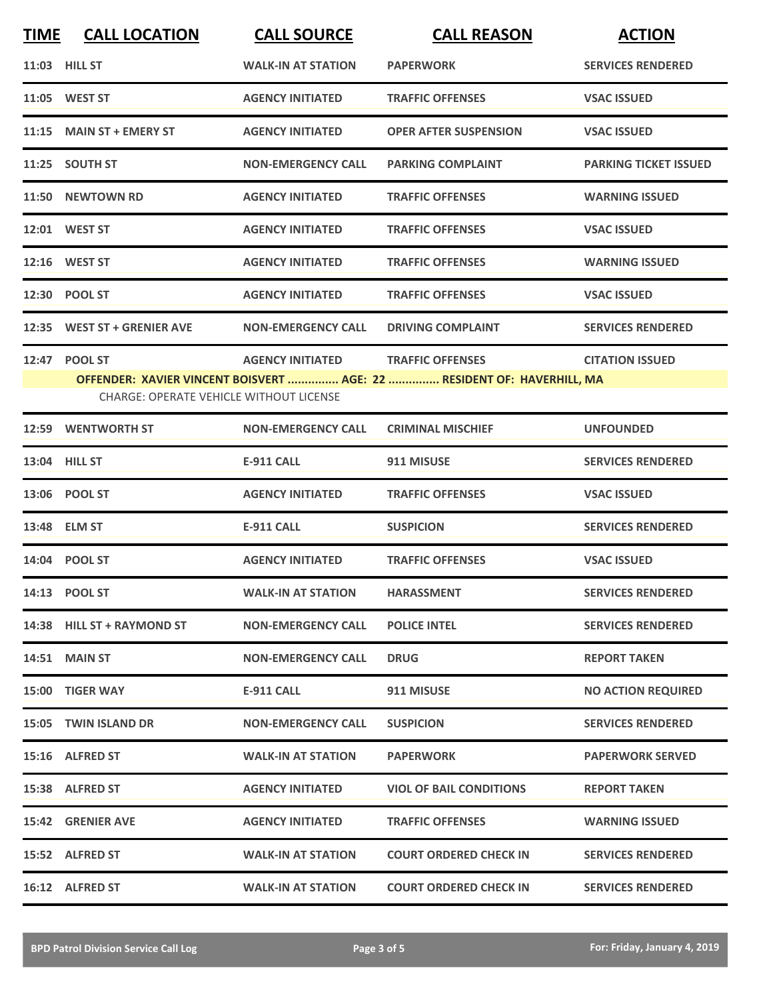| <b>TIME</b> | <b>CALL LOCATION</b>                                            | <b>CALL SOURCE</b>        | <b>CALL REASON</b>                                                                                | <b>ACTION</b>                |
|-------------|-----------------------------------------------------------------|---------------------------|---------------------------------------------------------------------------------------------------|------------------------------|
|             | 11:03 HILL ST                                                   | <b>WALK-IN AT STATION</b> | <b>PAPERWORK</b>                                                                                  | <b>SERVICES RENDERED</b>     |
|             | 11:05 WEST ST                                                   | <b>AGENCY INITIATED</b>   | <b>TRAFFIC OFFENSES</b>                                                                           | <b>VSAC ISSUED</b>           |
|             | 11:15 MAIN ST + EMERY ST                                        | <b>AGENCY INITIATED</b>   | <b>OPER AFTER SUSPENSION</b>                                                                      | <b>VSAC ISSUED</b>           |
|             | 11:25 SOUTH ST                                                  | <b>NON-EMERGENCY CALL</b> | <b>PARKING COMPLAINT</b>                                                                          | <b>PARKING TICKET ISSUED</b> |
|             | 11:50 NEWTOWN RD                                                | <b>AGENCY INITIATED</b>   | <b>TRAFFIC OFFENSES</b>                                                                           | <b>WARNING ISSUED</b>        |
|             | 12:01 WEST ST                                                   | <b>AGENCY INITIATED</b>   | <b>TRAFFIC OFFENSES</b>                                                                           | <b>VSAC ISSUED</b>           |
|             | 12:16 WEST ST                                                   | <b>AGENCY INITIATED</b>   | <b>TRAFFIC OFFENSES</b>                                                                           | <b>WARNING ISSUED</b>        |
|             | 12:30 POOL ST                                                   | <b>AGENCY INITIATED</b>   | <b>TRAFFIC OFFENSES</b>                                                                           | <b>VSAC ISSUED</b>           |
|             | 12:35 WEST ST + GRENIER AVE                                     | <b>NON-EMERGENCY CALL</b> | <b>DRIVING COMPLAINT</b>                                                                          | <b>SERVICES RENDERED</b>     |
|             | 12:47 POOL ST<br><b>CHARGE: OPERATE VEHICLE WITHOUT LICENSE</b> | <b>AGENCY INITIATED</b>   | <b>TRAFFIC OFFENSES</b><br>OFFENDER: XAVIER VINCENT BOISVERT  AGE: 22  RESIDENT OF: HAVERHILL, MA | <b>CITATION ISSUED</b>       |
|             | 12:59 WENTWORTH ST                                              | <b>NON-EMERGENCY CALL</b> | <b>CRIMINAL MISCHIEF</b>                                                                          | <b>UNFOUNDED</b>             |
|             | 13:04 HILL ST                                                   | <b>E-911 CALL</b>         | 911 MISUSE                                                                                        | <b>SERVICES RENDERED</b>     |
|             | 13:06 POOL ST                                                   | <b>AGENCY INITIATED</b>   | <b>TRAFFIC OFFENSES</b>                                                                           | <b>VSAC ISSUED</b>           |
|             | 13:48 ELM ST                                                    | <b>E-911 CALL</b>         | <b>SUSPICION</b>                                                                                  | <b>SERVICES RENDERED</b>     |
|             | 14:04 POOL ST                                                   | <b>AGENCY INITIATED</b>   | <b>TRAFFIC OFFENSES</b>                                                                           | <b>VSAC ISSUED</b>           |
|             | 14:13 POOL ST                                                   | <b>WALK-IN AT STATION</b> | <b>HARASSMENT</b>                                                                                 | <b>SERVICES RENDERED</b>     |
|             | 14:38 HILL ST + RAYMOND ST                                      | <b>NON-EMERGENCY CALL</b> | <b>POLICE INTEL</b>                                                                               | <b>SERVICES RENDERED</b>     |
|             | <b>14:51 MAIN ST</b>                                            | <b>NON-EMERGENCY CALL</b> | <b>DRUG</b>                                                                                       | <b>REPORT TAKEN</b>          |
|             | 15:00 TIGER WAY                                                 | E-911 CALL                | 911 MISUSE                                                                                        | <b>NO ACTION REQUIRED</b>    |
|             | 15:05 TWIN ISLAND DR                                            | <b>NON-EMERGENCY CALL</b> | <b>SUSPICION</b>                                                                                  | <b>SERVICES RENDERED</b>     |
|             | 15:16 ALFRED ST                                                 | <b>WALK-IN AT STATION</b> | <b>PAPERWORK</b>                                                                                  | <b>PAPERWORK SERVED</b>      |
|             | 15:38 ALFRED ST                                                 | <b>AGENCY INITIATED</b>   | <b>VIOL OF BAIL CONDITIONS</b>                                                                    | <b>REPORT TAKEN</b>          |
|             | 15:42 GRENIER AVE                                               | <b>AGENCY INITIATED</b>   | <b>TRAFFIC OFFENSES</b>                                                                           | <b>WARNING ISSUED</b>        |
|             | 15:52 ALFRED ST                                                 | <b>WALK-IN AT STATION</b> | <b>COURT ORDERED CHECK IN</b>                                                                     | <b>SERVICES RENDERED</b>     |
|             | 16:12 ALFRED ST                                                 | <b>WALK-IN AT STATION</b> | <b>COURT ORDERED CHECK IN</b>                                                                     | <b>SERVICES RENDERED</b>     |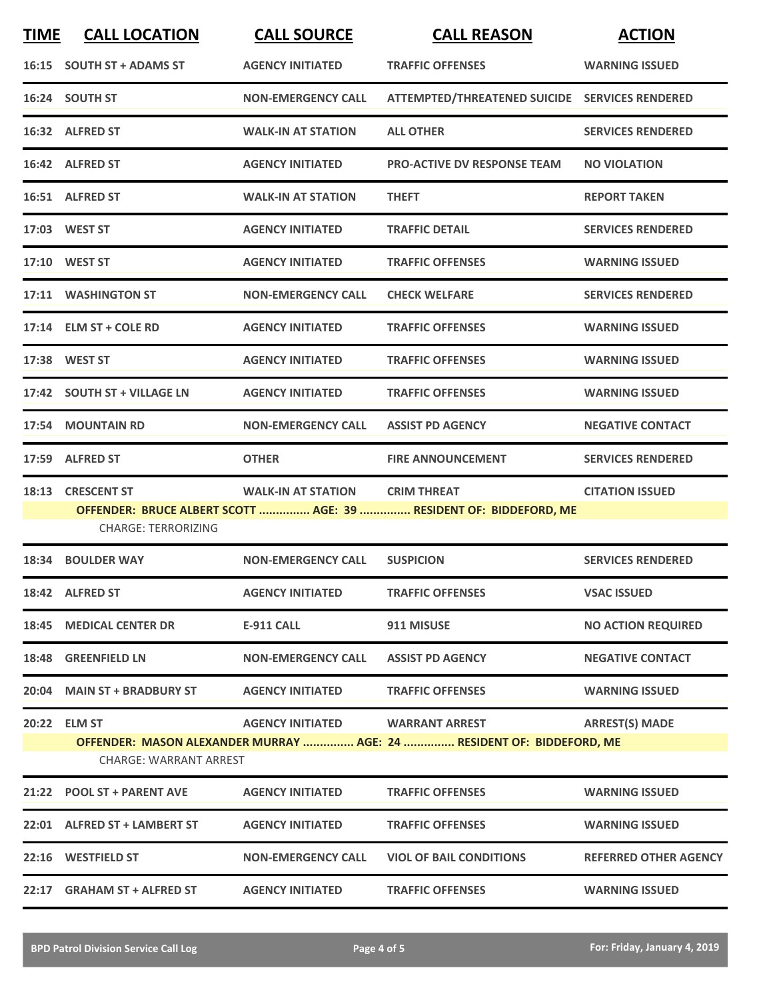| <b>TIME</b> | <b>CALL LOCATION</b>          | <b>CALL SOURCE</b>        | <b>CALL REASON</b>                                                                             | <b>ACTION</b>                |
|-------------|-------------------------------|---------------------------|------------------------------------------------------------------------------------------------|------------------------------|
|             | 16:15 SOUTH ST + ADAMS ST     | <b>AGENCY INITIATED</b>   | <b>TRAFFIC OFFENSES</b>                                                                        | <b>WARNING ISSUED</b>        |
|             | 16:24 SOUTH ST                | <b>NON-EMERGENCY CALL</b> | ATTEMPTED/THREATENED SUICIDE SERVICES RENDERED                                                 |                              |
|             | 16:32 ALFRED ST               | <b>WALK-IN AT STATION</b> | <b>ALL OTHER</b>                                                                               | <b>SERVICES RENDERED</b>     |
|             | 16:42 ALFRED ST               | <b>AGENCY INITIATED</b>   | <b>PRO-ACTIVE DV RESPONSE TEAM</b>                                                             | <b>NO VIOLATION</b>          |
|             | 16:51 ALFRED ST               | <b>WALK-IN AT STATION</b> | <b>THEFT</b>                                                                                   | <b>REPORT TAKEN</b>          |
|             | 17:03 WEST ST                 | <b>AGENCY INITIATED</b>   | <b>TRAFFIC DETAIL</b>                                                                          | <b>SERVICES RENDERED</b>     |
|             | 17:10 WEST ST                 | <b>AGENCY INITIATED</b>   | <b>TRAFFIC OFFENSES</b>                                                                        | <b>WARNING ISSUED</b>        |
|             | 17:11 WASHINGTON ST           | <b>NON-EMERGENCY CALL</b> | <b>CHECK WELFARE</b>                                                                           | <b>SERVICES RENDERED</b>     |
|             | 17:14 ELM ST + COLE RD        | <b>AGENCY INITIATED</b>   | <b>TRAFFIC OFFENSES</b>                                                                        | <b>WARNING ISSUED</b>        |
|             | 17:38 WEST ST                 | <b>AGENCY INITIATED</b>   | <b>TRAFFIC OFFENSES</b>                                                                        | <b>WARNING ISSUED</b>        |
|             | 17:42 SOUTH ST + VILLAGE LN   | <b>AGENCY INITIATED</b>   | <b>TRAFFIC OFFENSES</b>                                                                        | <b>WARNING ISSUED</b>        |
|             | 17:54 MOUNTAIN RD             | <b>NON-EMERGENCY CALL</b> | <b>ASSIST PD AGENCY</b>                                                                        | <b>NEGATIVE CONTACT</b>      |
|             | 17:59 ALFRED ST               | <b>OTHER</b>              | <b>FIRE ANNOUNCEMENT</b>                                                                       | <b>SERVICES RENDERED</b>     |
| 18:13       | <b>CRESCENT ST</b>            | <b>WALK-IN AT STATION</b> | <b>CRIM THREAT</b>                                                                             | <b>CITATION ISSUED</b>       |
|             | <b>CHARGE: TERRORIZING</b>    |                           | OFFENDER: BRUCE ALBERT SCOTT  AGE: 39  RESIDENT OF: BIDDEFORD, ME                              |                              |
|             | 18:34 BOULDER WAY             | <b>NON-EMERGENCY CALL</b> | <b>SUSPICION</b>                                                                               | <b>SERVICES RENDERED</b>     |
|             | 18:42 ALFRED ST               | <b>AGENCY INITIATED</b>   | <b>TRAFFIC OFFENSES</b>                                                                        | <b>VSAC ISSUED</b>           |
|             | 18:45 MEDICAL CENTER DR       | <b>E-911 CALL</b>         | 911 MISUSE                                                                                     | <b>NO ACTION REQUIRED</b>    |
|             | 18:48 GREENFIELD LN           | <b>NON-EMERGENCY CALL</b> | <b>ASSIST PD AGENCY</b>                                                                        | <b>NEGATIVE CONTACT</b>      |
|             | 20:04 MAIN ST + BRADBURY ST   | <b>AGENCY INITIATED</b>   | <b>TRAFFIC OFFENSES</b>                                                                        | <b>WARNING ISSUED</b>        |
|             | 20:22 ELM ST                  | <b>AGENCY INITIATED</b>   | <b>WARRANT ARREST</b><br>OFFENDER: MASON ALEXANDER MURRAY  AGE: 24  RESIDENT OF: BIDDEFORD, ME | <b>ARREST(S) MADE</b>        |
|             | <b>CHARGE: WARRANT ARREST</b> |                           |                                                                                                |                              |
|             | 21:22 POOL ST + PARENT AVE    | <b>AGENCY INITIATED</b>   | <b>TRAFFIC OFFENSES</b>                                                                        | <b>WARNING ISSUED</b>        |
|             | 22:01 ALFRED ST + LAMBERT ST  | <b>AGENCY INITIATED</b>   | <b>TRAFFIC OFFENSES</b>                                                                        | <b>WARNING ISSUED</b>        |
|             | 22:16 WESTFIELD ST            | <b>NON-EMERGENCY CALL</b> | <b>VIOL OF BAIL CONDITIONS</b>                                                                 | <b>REFERRED OTHER AGENCY</b> |
| 22:17       | <b>GRAHAM ST + ALFRED ST</b>  | <b>AGENCY INITIATED</b>   | <b>TRAFFIC OFFENSES</b>                                                                        | <b>WARNING ISSUED</b>        |